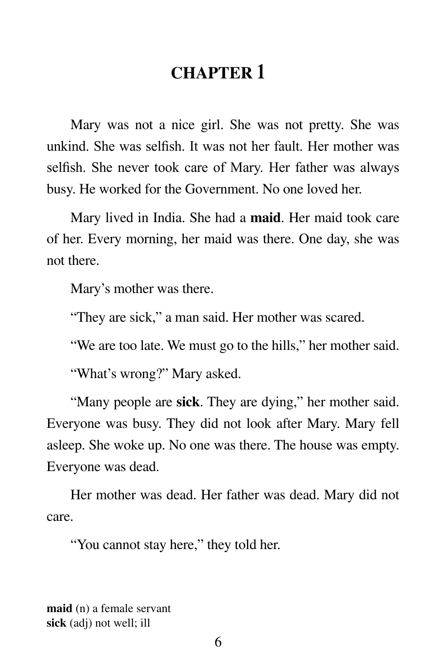# **CHAPTER 1**

Mary was not a nice girl. She was not pretty. She was unkind. She was selfish. It was not her fault. Her mother was selfish. She never took care of Mary. Her father was always busy. He worked for the Government. No one loved her.

Mary lived in India. She had a **maid**. Her maid took care of her. Every morning, her maid was there. One day, she was not there.

Mary's mother was there.

"They are sick," a man said. Her mother was scared.

"We are too late. We must go to the hills," her mother said.

"What's wrong?" Mary asked.

"Many people are **sick**. They are dying," her mother said. Everyone was busy. They did not look after Mary. Mary fell asleep. She woke up. No one was there. The house was empty. Everyone was dead.

Her mother was dead. Her father was dead. Mary did not care.

"You cannot stay here," they told her.

**maid** (n) a female servant **sick** (adj) not well; ill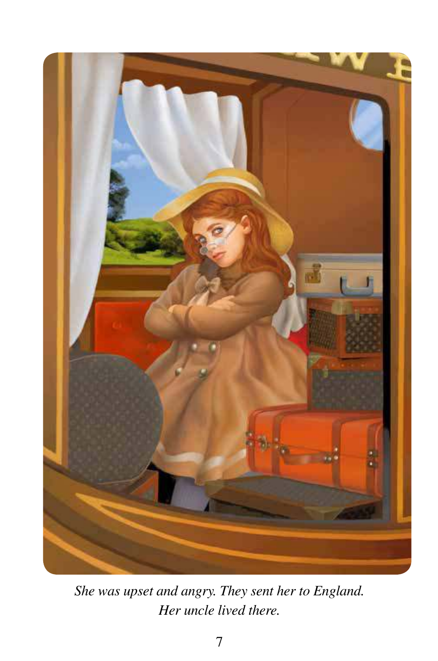

*She was upset and angry. They sent her to England. Her uncle lived there.*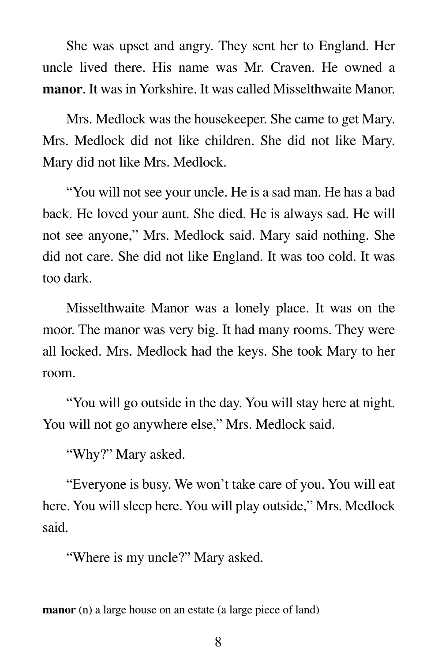She was upset and angry. They sent her to England. Her uncle lived there. His name was Mr. Craven. He owned a **manor**. It was in Yorkshire. It was called Misselthwaite Manor.

 Mrs. Medlock was the housekeeper. She came to get Mary. Mrs. Medlock did not like children. She did not like Mary. Mary did not like Mrs. Medlock.

 "You will not see your uncle. He is a sad man. He has a bad back. He loved your aunt. She died. He is always sad. He will not see anyone," Mrs. Medlock said. Mary said nothing. She did not care. She did not like England. It was too cold. It was too dark.

 Misselthwaite Manor was a lonely place. It was on the moor. The manor was very big. It had many rooms. They were all locked. Mrs. Medlock had the keys. She took Mary to her room.

 "You will go outside in the day. You will stay here at night. You will not go anywhere else," Mrs. Medlock said.

"Why?" Mary asked.

 "Everyone is busy. We won't take care of you. You will eat here. You will sleep here. You will play outside," Mrs. Medlock said.

"Where is my uncle?" Mary asked.

**manor** (n) a large house on an estate (a large piece of land)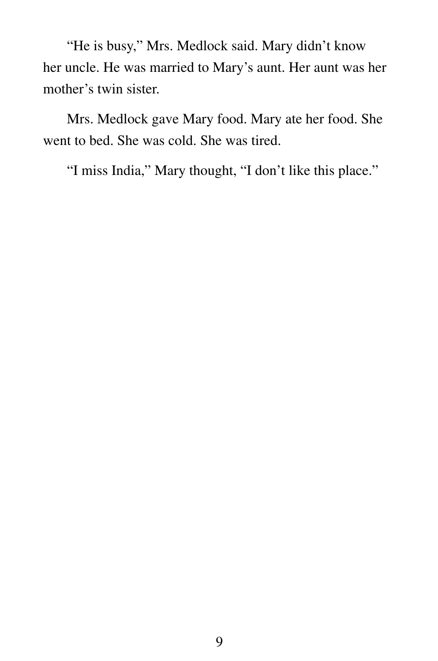"He is busy," Mrs. Medlock said. Mary didn't know her uncle. He was married to Mary's aunt. Her aunt was her mother's twin sister.

 Mrs. Medlock gave Mary food. Mary ate her food. She went to bed. She was cold. She was tired.

"I miss India," Mary thought, "I don't like this place."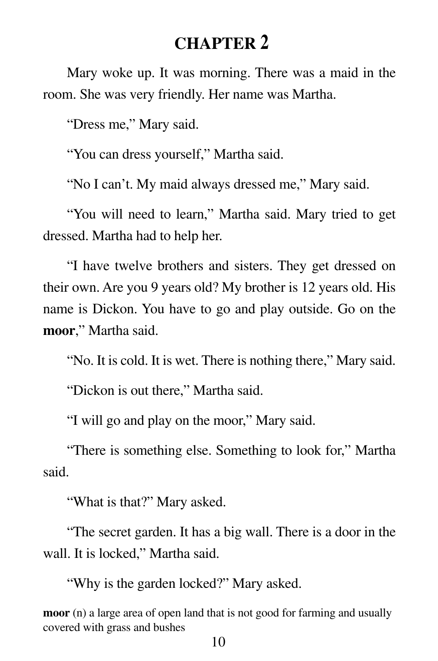# **CHAPTER 2**

Mary woke up. It was morning. There was a maid in the room. She was very friendly. Her name was Martha.

"Dress me," Mary said.

"You can dress yourself," Martha said.

"No I can't. My maid always dressed me," Mary said.

"You will need to learn," Martha said. Mary tried to get dressed. Martha had to help her.

"I have twelve brothers and sisters. They get dressed on their own. Are you 9 years old? My brother is 12 years old. His name is Dickon. You have to go and play outside. Go on the **moor**," Martha said.

"No. It is cold. It is wet. There is nothing there," Mary said.

"Dickon is out there," Martha said.

"I will go and play on the moor," Mary said.

"There is something else. Something to look for," Martha said.

"What is that?" Mary asked.

"The secret garden. It has a big wall. There is a door in the wall. It is locked," Martha said.

"Why is the garden locked?" Mary asked.

**moor** (n) a large area of open land that is not good for farming and usually covered with grass and bushes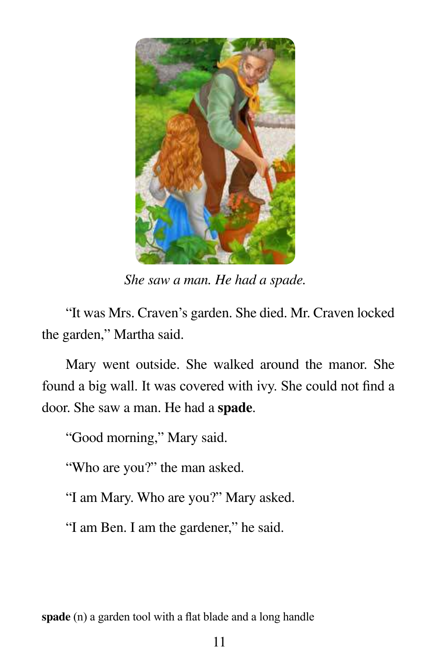

*She saw a man. He had a spade.*

 "It was Mrs. Craven's garden. She died. Mr. Craven locked the garden," Martha said.

 Mary went outside. She walked around the manor. She found a big wall. It was covered with ivy. She could not find a door. She saw a man. He had a **spade**.

"Good morning," Mary said.

"Who are you?" the man asked.

"I am Mary. Who are you?" Mary asked.

"I am Ben. I am the gardener," he said.

**spade** (n) a garden tool with a flat blade and a long handle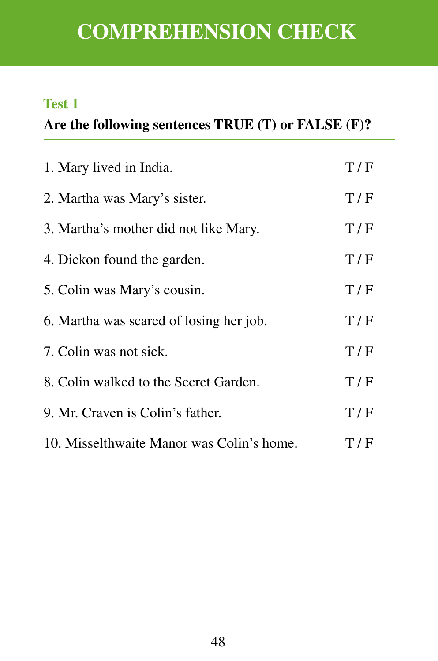# **COMPREHENSION CHECK**

## **Test 1**

## **Are the following sentences TRUE (T) or FALSE (F)?**

| 1. Mary lived in India.                   | T/F |
|-------------------------------------------|-----|
| 2. Martha was Mary's sister.              | T/F |
| 3. Martha's mother did not like Mary.     | T/F |
| 4. Dickon found the garden.               | T/F |
| 5. Colin was Mary's cousin.               | T/F |
| 6. Martha was scared of losing her job.   | T/F |
| 7. Colin was not sick.                    | T/F |
| 8. Colin walked to the Secret Garden.     | T/F |
| 9. Mr. Craven is Colin's father.          | T/F |
| 10. Misselthwaite Manor was Colin's home. | T/F |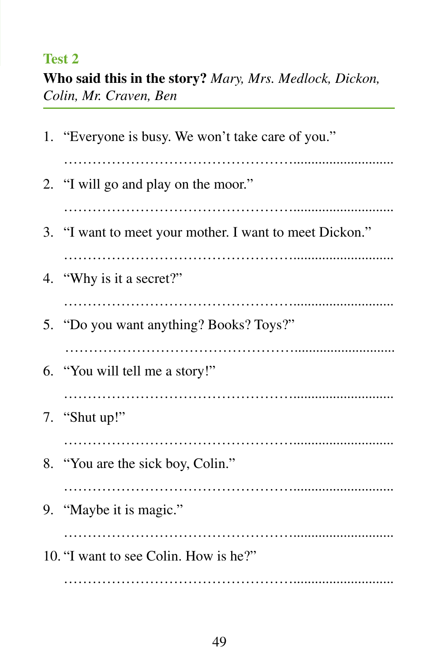## **Test 2**

**Who said this in the story?** *Mary, Mrs. Medlock, Dickon, Colin, Mr. Craven, Ben*

| 1. "Everyone is busy. We won't take care of you."       |
|---------------------------------------------------------|
|                                                         |
| 2. "I will go and play on the moor."                    |
|                                                         |
| 3. "I want to meet your mother. I want to meet Dickon." |
|                                                         |
| 4. "Why is it a secret?"                                |
|                                                         |
| 5. "Do you want anything? Books? Toys?"                 |
|                                                         |
| 6. "You will tell me a story!"                          |
|                                                         |
| 7. "Shut up!"                                           |
|                                                         |
| 8. "You are the sick boy, Colin."                       |
|                                                         |
| 9. "Maybe it is magic."                                 |
|                                                         |
| 10. "I want to see Colin. How is he?"                   |
|                                                         |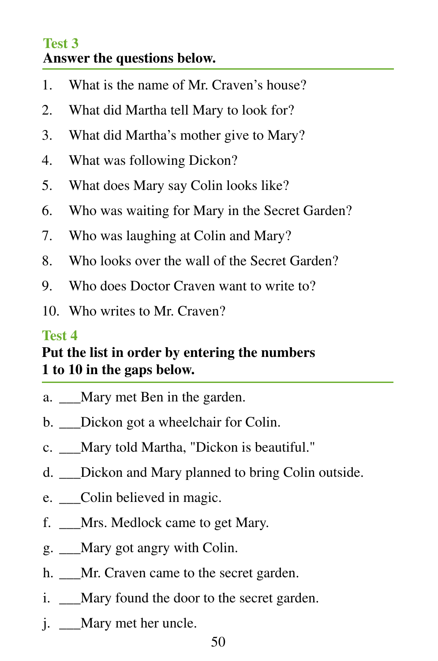#### **Test 3 Answer the questions below.**

- 1. What is the name of Mr. Craven's house?
- 2. What did Martha tell Mary to look for?
- 3. What did Martha's mother give to Mary?
- 4. What was following Dickon?
- 5. What does Mary say Colin looks like?
- 6. Who was waiting for Mary in the Secret Garden?
- 7. Who was laughing at Colin and Mary?
- 8. Who looks over the wall of the Secret Garden?
- 9. Who does Doctor Craven want to write to?
- 10. Who writes to Mr. Craven?

#### **Test 4**

# **Put the list in order by entering the numbers 1 to 10 in the gaps below.**

- a. Mary met Ben in the garden.
- b. Dickon got a wheelchair for Colin.
- c. \_\_\_Mary told Martha, "Dickon is beautiful."
- d. Dickon and Mary planned to bring Colin outside.
- e. Colin believed in magic.
- f. \_\_\_Mrs. Medlock came to get Mary.
- g. \_\_\_Mary got angry with Colin.
- h. Mr. Craven came to the secret garden.
- i. Mary found the door to the secret garden.
- j. Mary met her uncle.